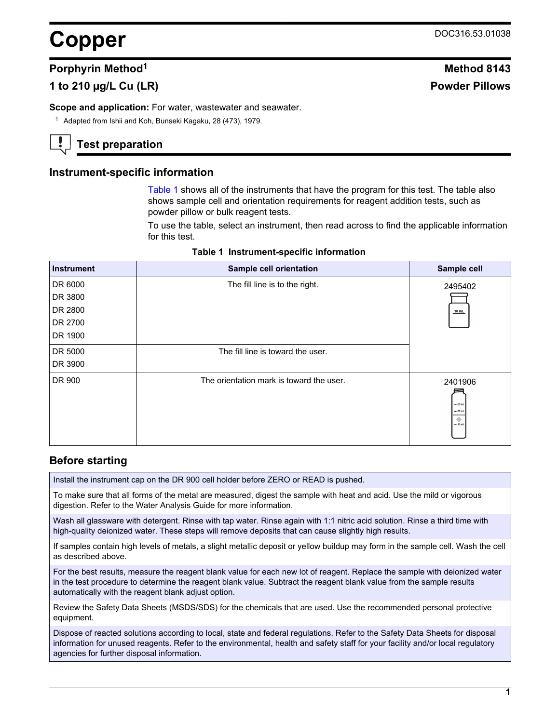# **Copper** DOC316.53.01038

## **Porphyrin Method**<sup>1</sup> **Method** 8143

# **1 to 210 µg/L Cu (LR) Powder Pillows**

**Scope and application:** For water, wastewater and seawater.

<sup>1</sup> Adapted from Ishii and Koh, Bunseki Kagaku, 28 (473), 1979.

# **Test preparation**

## **Instrument-specific information**

[Table 1](#page-0-0) shows all of the instruments that have the program for this test. The table also shows sample cell and orientation requirements for reagent addition tests, such as powder pillow or bulk reagent tests.

To use the table, select an instrument, then read across to find the applicable information for this test.

<span id="page-0-1"></span><span id="page-0-0"></span>

| <b>Instrument</b> | Sample cell orientation                  | Sample cell                                   |
|-------------------|------------------------------------------|-----------------------------------------------|
| DR 6000           | The fill line is to the right.           | 2495402                                       |
| DR 3800           |                                          |                                               |
| DR 2800           |                                          | 10 mL                                         |
| DR 2700           |                                          |                                               |
| DR 1900           |                                          |                                               |
| DR 5000           | The fill line is toward the user.        |                                               |
| DR 3900           |                                          |                                               |
| DR 900            | The orientation mark is toward the user. | 2401906<br>$= 25$ mL<br>$= 20$ mL<br>$-10$ mL |

#### **Table 1 Instrument-specific information**

## **Before starting**

Install the instrument cap on the DR 900 cell holder before ZERO or READ is pushed.

To make sure that all forms of the metal are measured, digest the sample with heat and acid. Use the mild or vigorous digestion. Refer to the Water Analysis Guide for more information.

Wash all glassware with detergent. Rinse with tap water. Rinse again with 1:1 nitric acid solution. Rinse a third time with high-quality deionized water. These steps will remove deposits that can cause slightly high results.

If samples contain high levels of metals, a slight metallic deposit or yellow buildup may form in the sample cell. Wash the cell as described above.

For the best results, measure the reagent blank value for each new lot of reagent. Replace the sample with deionized water in the test procedure to determine the reagent blank value. Subtract the reagent blank value from the sample results automatically with the reagent blank adjust option.

Review the Safety Data Sheets (MSDS/SDS) for the chemicals that are used. Use the recommended personal protective equipment.

Dispose of reacted solutions according to local, state and federal regulations. Refer to the Safety Data Sheets for disposal information for unused reagents. Refer to the environmental, health and safety staff for your facility and/or local regulatory agencies for further disposal information.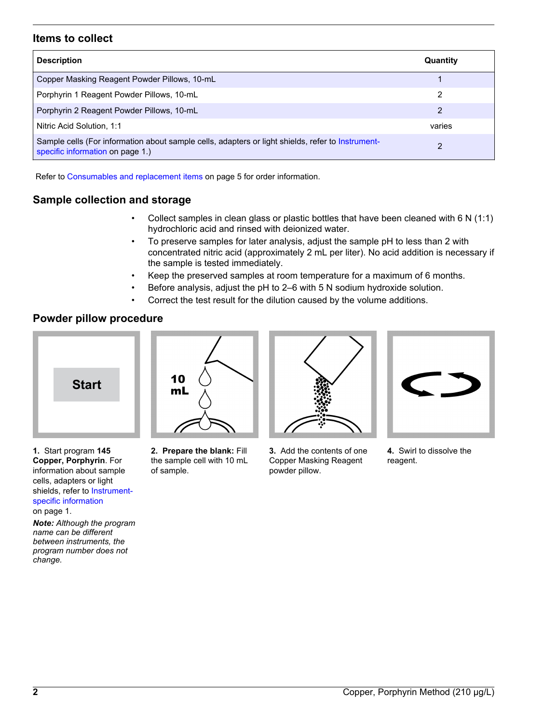## **Items to collect**

| <b>Description</b>                                                                                                                    | Quantity |
|---------------------------------------------------------------------------------------------------------------------------------------|----------|
| Copper Masking Reagent Powder Pillows, 10-mL                                                                                          |          |
| Porphyrin 1 Reagent Powder Pillows, 10-mL                                                                                             | 2        |
| Porphyrin 2 Reagent Powder Pillows, 10-mL                                                                                             | 2        |
| Nitric Acid Solution, 1:1                                                                                                             | varies   |
| Sample cells (For information about sample cells, adapters or light shields, refer to Instrument-<br>specific information on page 1.) | າ        |

Refer to [Consumables and replacement items](#page-4-0) on page 5 for order information.

# **Sample collection and storage**

- Collect samples in clean glass or plastic bottles that have been cleaned with 6 N (1:1) hydrochloric acid and rinsed with deionized water.
- To preserve samples for later analysis, adjust the sample pH to less than 2 with concentrated nitric acid (approximately 2 mL per liter). No acid addition is necessary if the sample is tested immediately.
- Keep the preserved samples at room temperature for a maximum of 6 months.
- Before analysis, adjust the pH to 2–6 with 5 N sodium hydroxide solution.
- Correct the test result for the dilution caused by the volume additions.

## **Powder pillow procedure**



**1.** Start program **145 Copper, Porphyrin**. For information about sample cells, adapters or light shields, refer to [Instrument](#page-0-1)[specific information](#page-0-1) on page 1.

*Note: Although the program name can be different between instruments, the program number does not change.*



**2. Prepare the blank:** Fill the sample cell with 10 mL of sample.



**3.** Add the contents of one Copper Masking Reagent powder pillow.



**4.** Swirl to dissolve the reagent.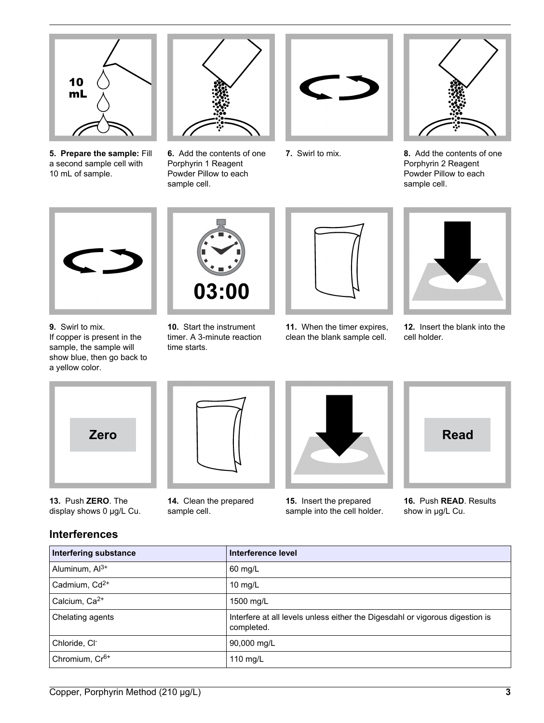

**5. Prepare the sample:** Fill a second sample cell with 10 mL of sample.



**6.** Add the contents of one Porphyrin 1 Reagent Powder Pillow to each sample cell.





**7.** Swirl to mix. **8.** Add the contents of one Porphyrin 2 Reagent Powder Pillow to each sample cell.



**9.** Swirl to mix. If copper is present in the sample, the sample will show blue, then go back to a yellow color.



**10.** Start the instrument timer. A 3-minute reaction time starts.



**11.** When the timer expires, clean the blank sample cell.



**12.** Insert the blank into the cell holder.



**13.** Push **ZERO**. The display shows 0 µg/L Cu.





**15.** Insert the prepared sample into the cell holder.



**16.** Push **READ**. Results show in µg/L Cu.

# **Interferences**

| <b>Interfering substance</b> | Interference level                                                                         |
|------------------------------|--------------------------------------------------------------------------------------------|
| Aluminum, Al <sup>3+</sup>   | 60 mg/L                                                                                    |
| Cadmium, Cd <sup>2+</sup>    | 10 $mg/L$                                                                                  |
| Calcium, Ca <sup>2+</sup>    | 1500 mg/L                                                                                  |
| Chelating agents             | Interfere at all levels unless either the Digesdahl or vigorous digestion is<br>completed. |
| Chloride, CI-                | 90,000 mg/L                                                                                |
| Chromium, Cr <sup>6+</sup>   | 110 mg/L                                                                                   |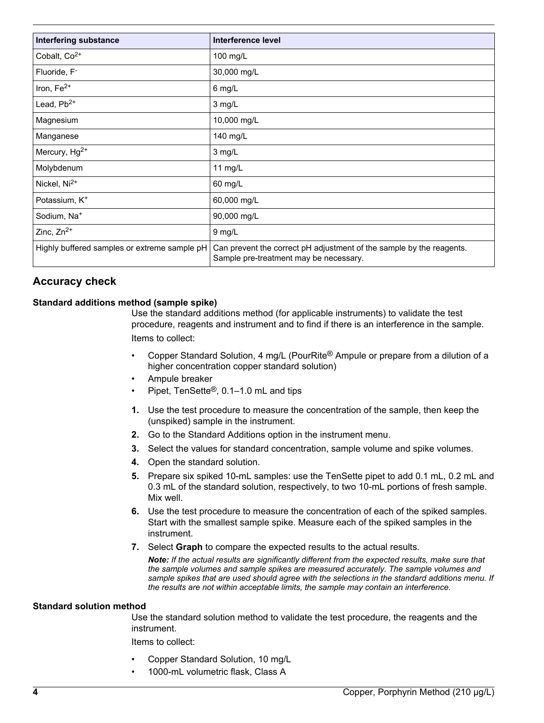| Interfering substance                        | Interference level                                                                                             |
|----------------------------------------------|----------------------------------------------------------------------------------------------------------------|
| Cobalt, Co <sup>2+</sup>                     | 100 mg/L                                                                                                       |
| Fluoride, F <sup>-</sup>                     | 30,000 mg/L                                                                                                    |
| Iron, $Fe2+$                                 | 6 mg/L                                                                                                         |
| Lead, $Pb^{2+}$                              | 3 mg/L                                                                                                         |
| Magnesium                                    | 10,000 mg/L                                                                                                    |
| Manganese                                    | 140 mg/L                                                                                                       |
| Mercury, Hg <sup>2+</sup>                    | 3 mg/L                                                                                                         |
| Molybdenum                                   | 11 mg/L                                                                                                        |
| Nickel, Ni <sup>2+</sup>                     | 60 mg/L                                                                                                        |
| Potassium, K <sup>+</sup>                    | 60,000 mg/L                                                                                                    |
| Sodium, Na <sup>+</sup>                      | 90,000 mg/L                                                                                                    |
| Zinc, $Zn^{2+}$                              | 9 mg/L                                                                                                         |
| Highly buffered samples or extreme sample pH | Can prevent the correct pH adjustment of the sample by the reagents.<br>Sample pre-treatment may be necessary. |

# **Accuracy check**

## **Standard additions method (sample spike)**

Use the standard additions method (for applicable instruments) to validate the test procedure, reagents and instrument and to find if there is an interference in the sample. Items to collect:

- Copper Standard Solution, 4 mg/L (PourRite® Ampule or prepare from a dilution of a higher concentration copper standard solution)
- Ampule breaker
- Pipet, TenSette®, 0.1–1.0 mL and tips
- **1.** Use the test procedure to measure the concentration of the sample, then keep the (unspiked) sample in the instrument.
- **2.** Go to the Standard Additions option in the instrument menu.
- **3.** Select the values for standard concentration, sample volume and spike volumes.
- **4.** Open the standard solution.
- **5.** Prepare six spiked 10-mL samples: use the TenSette pipet to add 0.1 mL, 0.2 mL and 0.3 mL of the standard solution, respectively, to two 10-mL portions of fresh sample. Mix well.
- **6.** Use the test procedure to measure the concentration of each of the spiked samples. Start with the smallest sample spike. Measure each of the spiked samples in the instrument.
- **7.** Select **Graph** to compare the expected results to the actual results.

*Note: If the actual results are significantly different from the expected results, make sure that the sample volumes and sample spikes are measured accurately. The sample volumes and sample spikes that are used should agree with the selections in the standard additions menu. If the results are not within acceptable limits, the sample may contain an interference.*

#### **Standard solution method**

Use the standard solution method to validate the test procedure, the reagents and the instrument.

Items to collect:

- Copper Standard Solution, 10 mg/L
- 1000-mL volumetric flask, Class A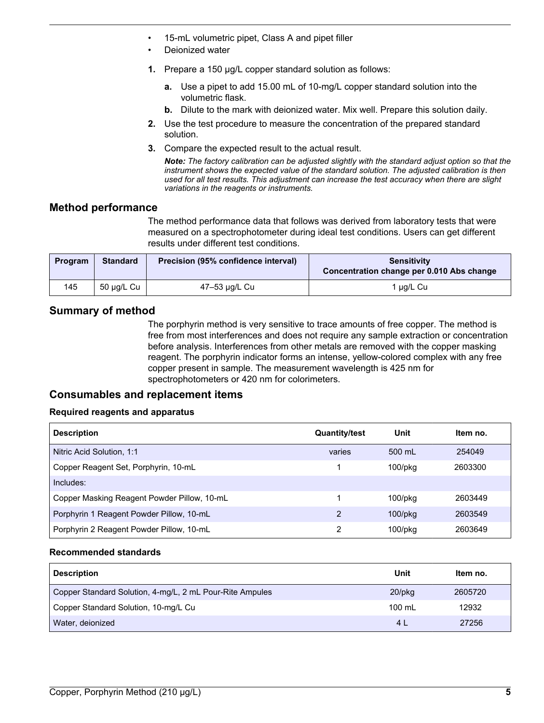- 15-mL volumetric pipet, Class A and pipet filler
- Deionized water
- **1.** Prepare a 150 µg/L copper standard solution as follows:
	- **a.** Use a pipet to add 15.00 mL of 10-mg/L copper standard solution into the volumetric flask.
	- **b.** Dilute to the mark with deionized water. Mix well. Prepare this solution daily.
- **2.** Use the test procedure to measure the concentration of the prepared standard solution.
- **3.** Compare the expected result to the actual result.

*Note: The factory calibration can be adjusted slightly with the standard adjust option so that the instrument shows the expected value of the standard solution. The adjusted calibration is then used for all test results. This adjustment can increase the test accuracy when there are slight variations in the reagents or instruments.*

# **Method performance**

The method performance data that follows was derived from laboratory tests that were measured on a spectrophotometer during ideal test conditions. Users can get different results under different test conditions.

| Program | <b>Standard</b> | Precision (95% confidence interval) | <b>Sensitivity</b><br>Concentration change per 0.010 Abs change |
|---------|-----------------|-------------------------------------|-----------------------------------------------------------------|
| 145     | 50 µg/L Cu      | 47-53 µg/L Cu                       | ug/L Cu                                                         |

# **Summary of method**

The porphyrin method is very sensitive to trace amounts of free copper. The method is free from most interferences and does not require any sample extraction or concentration before analysis. Interferences from other metals are removed with the copper masking reagent. The porphyrin indicator forms an intense, yellow-colored complex with any free copper present in sample. The measurement wavelength is 425 nm for spectrophotometers or 420 nm for colorimeters.

## **Consumables and replacement items**

## **Required reagents and apparatus**

<span id="page-4-0"></span>

| <b>Description</b>                          | <b>Quantity/test</b> | Unit          | Item no. |
|---------------------------------------------|----------------------|---------------|----------|
| Nitric Acid Solution, 1:1                   | varies               | 500 mL        | 254049   |
| Copper Reagent Set, Porphyrin, 10-mL        |                      | $100$ /p $kg$ | 2603300  |
| Includes:                                   |                      |               |          |
| Copper Masking Reagent Powder Pillow, 10-mL |                      | $100$ /pkq    | 2603449  |
| Porphyrin 1 Reagent Powder Pillow, 10-mL    | 2                    | $100$ /p $kg$ | 2603549  |
| Porphyrin 2 Reagent Powder Pillow, 10-mL    | 2                    | $100$ /p $kg$ | 2603649  |

#### **Recommended standards**

| <b>Description</b>                                       | Unit           | Item no. |
|----------------------------------------------------------|----------------|----------|
| Copper Standard Solution, 4-mg/L, 2 mL Pour-Rite Ampules | $20$ /pkq      | 2605720  |
| Copper Standard Solution, 10-mg/L Cu                     | 100 mL         | 12932    |
| Water, deionized                                         | 4 <sub>l</sub> | 27256    |